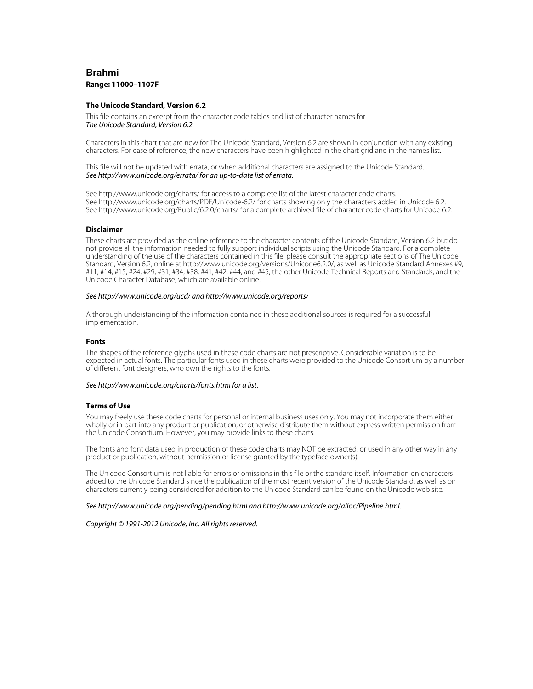# **Brahmi Range: 11000–1107F**

### **The Unicode Standard, Version 6.2**

This file contains an excerpt from the character code tables and list of character names for The Unicode Standard, Version 6.2

Characters in this chart that are new for The Unicode Standard, Version 6.2 are shown in conjunction with any existing characters. For ease of reference, the new characters have been highlighted in the chart grid and in the names list.

This file will not be updated with errata, or when additional characters are assigned to the Unicode Standard. See <http://www.unicode.org/errata/>for an up-to-date list of errata.

See <http://www.unicode.org/charts/> for access to a complete list of the latest character code charts. See <http://www.unicode.org/charts/PDF/Unicode-6.2/>for charts showing only the characters added in Unicode 6.2. See <http://www.unicode.org/Public/6.2.0/charts/> for a complete archived file of character code charts for Unicode 6.2.

## **Disclaimer**

These charts are provided as the online reference to the character contents of the Unicode Standard, Version 6.2 but do not provide all the information needed to fully support individual scripts using the Unicode Standard. For a complete understanding of the use of the characters contained in this file, please consult the appropriate sections of The Unicode Standard, Version 6.2, online at [http://www.unicode.org/versions/Unicode6.2.0/,](http://www.unicode.org/versions/Unicode6.2.0/) as well as Unicode Standard Annexes #9, #11, #14, #15, #24, #29, #31, #34, #38, #41, #42, #44, and #45, the other Unicode Technical Reports and Standards, and the Unicode Character Database, which are available online.

#### See <http://www.unicode.org/ucd/>and<http://www.unicode.org/reports/>

A thorough understanding of the information contained in these additional sources is required for a successful implementation.

#### **Fonts**

The shapes of the reference glyphs used in these code charts are not prescriptive. Considerable variation is to be expected in actual fonts. The particular fonts used in these charts were provided to the Unicode Consortium by a number of different font designers, who own the rights to the fonts.

#### See <http://www.unicode.org/charts/fonts.html> for a list.

#### **Terms of Use**

You may freely use these code charts for personal or internal business uses only. You may not incorporate them either wholly or in part into any product or publication, or otherwise distribute them without express written permission from the Unicode Consortium. However, you may provide links to these charts.

The fonts and font data used in production of these code charts may NOT be extracted, or used in any other way in any product or publication, without permission or license granted by the typeface owner(s).

The Unicode Consortium is not liable for errors or omissions in this file or the standard itself. Information on characters added to the Unicode Standard since the publication of the most recent version of the Unicode Standard, as well as on characters currently being considered for addition to the Unicode Standard can be found on the Unicode web site.

#### See <http://www.unicode.org/pending/pending.html> and [http://www.unicode.org/alloc/Pipeline.html.](http://www.unicode.org/alloc/Pipeline.html)

Copyright © 1991-2012 Unicode, Inc. All rights reserved.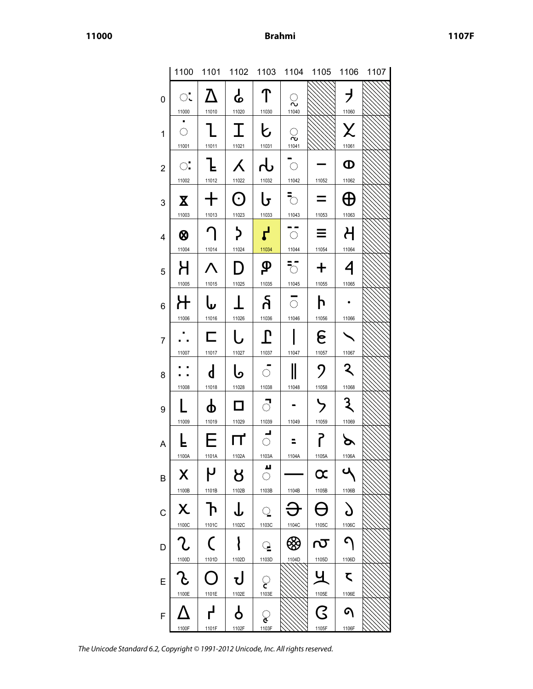|                         |                   |                   |                        |                             |                               |                  |                      | 1100 1101 1102 1103 1104 1105 1106 1107 |
|-------------------------|-------------------|-------------------|------------------------|-----------------------------|-------------------------------|------------------|----------------------|-----------------------------------------|
|                         |                   |                   |                        |                             |                               |                  |                      |                                         |
| 0                       | $\bigcirc$ .      | $\Lambda$         | ራ                      | $\mathsf T$                 | $\mathbb{Q}$                  |                  |                      |                                         |
|                         | 11000             | 11010             | 11020                  | 11030                       | 11040                         |                  | 11060                |                                         |
|                         |                   |                   |                        |                             |                               |                  |                      |                                         |
|                         |                   |                   | T                      | と                           |                               |                  | $\bm{\mathsf{X}}$    |                                         |
| 1                       | $\langle \rangle$ |                   |                        |                             |                               |                  |                      |                                         |
|                         | 11001             | 11011             | 11021                  | 11031                       | $\sum_{11041}$                |                  | 11061                |                                         |
|                         |                   |                   |                        |                             |                               |                  |                      |                                         |
| $\overline{\mathbf{c}}$ | $\bigcirc$        | $\mathsf{L}$      | $\lambda$              |                             | $\sim$   ሥ                    |                  | $\mathbf  \Phi$      |                                         |
|                         |                   |                   |                        | 11032                       |                               |                  |                      |                                         |
|                         | 11002             | 11012             | 11022                  |                             | 11042                         | 11052            | 11062                |                                         |
| 3                       |                   |                   | $\odot$<br>11023       | ပြ<br>11033                 | रित<br>11043                  | $=$<br>11053     | $\bigoplus$<br>11063 |                                         |
|                         | $\mathbf X$       |                   |                        |                             |                               |                  |                      |                                         |
|                         | 11003             | 11013             |                        |                             |                               |                  |                      |                                         |
|                         |                   | ገ<br>11014        | $\mathcal{P}$<br>11024 | $\mathbf{r}$                | $\overline{\circ}$ .<br>11044 | Ξ                | H                    |                                         |
| $\overline{\mathbf{4}}$ | ⊗                 |                   |                        |                             |                               |                  |                      |                                         |
|                         |                   |                   |                        |                             |                               |                  |                      |                                         |
|                         | 11004             |                   |                        | 11034                       |                               | 11054            | 11064                |                                         |
| 5                       | H                 | Λ                 | D                      | $\mathbf{\varphi}$          | $\overline{\mathbb{C}}$ .     | $\pm$            | $\overline{4}$       |                                         |
|                         |                   |                   |                        |                             |                               |                  |                      |                                         |
|                         | 11005             | 11015             | 11025                  | 11035                       | 11045                         | 11055            | 11065                |                                         |
|                         |                   |                   |                        |                             |                               |                  |                      |                                         |
| 6                       | 廾                 | し                 | $\mathbf{1}$           | δ                           | $\overline{\odot}$ .          | $\mathsf{h}$     |                      |                                         |
|                         | 11006             | 11016             | 11026                  | 11036                       | 11046                         | 11056            | 11066                |                                         |
|                         |                   |                   |                        |                             |                               |                  |                      |                                         |
|                         |                   | Е                 | し                      | $\mathbf L$                 |                               | $\epsilon$       |                      |                                         |
| 7                       |                   |                   |                        |                             |                               |                  |                      |                                         |
|                         | 11007             | 11017             | 11027                  | 11037                       | 11047                         | 11057            | 11067                |                                         |
|                         |                   | $\mathbf d$       | ပြ                     | $\sqrt{2}$                  | II                            | $\mathfrak{D}$   |                      |                                         |
| 8                       |                   |                   |                        |                             |                               |                  |                      |                                         |
|                         | 11008             | 11018             | 11028                  | 11038                       | 11048                         | 11058            | 11068                |                                         |
|                         |                   | $\phi$            | $\Box$                 | ैं।                         |                               | $\triangleright$ | र्                   |                                         |
|                         |                   |                   |                        |                             |                               |                  |                      |                                         |
| 9                       |                   |                   |                        |                             |                               |                  |                      |                                         |
|                         | 11009             | 11019             | 11029                  | 11039                       | 11049                         | 11059            | 11069                |                                         |
|                         |                   | F.                | $\Box$                 | $\frac{1}{\sqrt{2}}$        | $\blacksquare$                | $\mathsf{S}$     |                      |                                         |
| Α                       |                   |                   |                        |                             |                               |                  |                      |                                         |
|                         | 1100A             | 1101A             | 1102A                  |                             | 1103A 1104A                   | 1105A            | 1106A                |                                         |
|                         |                   |                   |                        | ц                           |                               |                  |                      |                                         |
| B                       | Х                 |                   | X                      | $\mathcal{L}^{\mathcal{A}}$ |                               | $\alpha$         |                      |                                         |
|                         |                   |                   |                        |                             |                               |                  |                      |                                         |
|                         | 1100B             | 1101B             | 1102B                  | 1103B                       | 1104B                         | 1105B            | 1106B                |                                         |
| C                       | X                 | $\mathsf{h}$      |                        | $\mathbb{Z}$                |                               | A                |                      |                                         |
|                         |                   |                   |                        |                             |                               |                  |                      |                                         |
|                         | 1100C             | 1101C             | 1102C                  | 1103C                       | 1104C                         | 1105C            | 1106C                |                                         |
|                         | Ն<br>1100D        | $\mathcal{C}_{0}$ |                        | $\mathcal{L}_{\mathcal{L}}$ | ⊛                             | <u>ഹ</u>         | ີ<br>1106D           |                                         |
| D                       |                   |                   |                        |                             |                               |                  |                      |                                         |
|                         |                   |                   |                        |                             |                               |                  |                      |                                         |
| E                       |                   | 1101D<br>( )      | 1102D<br>J             | 1103D<br>ृ                  | 1104D                         | 1105D<br>닛       | $\zeta$              |                                         |
|                         | $\cdot$           |                   |                        |                             |                               |                  |                      |                                         |
|                         |                   |                   |                        |                             |                               |                  |                      |                                         |
|                         | 1100E             | 1101E             | 1102E                  | 1103E                       |                               | 1105E            | 1106E                |                                         |
| F                       |                   |                   |                        |                             |                               | G                | ባ                    |                                         |
|                         |                   |                   |                        |                             |                               |                  |                      |                                         |
|                         | 1100F             | 1101F             | 1102F                  | 1103F                       |                               | 1105F            | 1106F                |                                         |

The Unicode Standard 6.2, Copyright © 1991-2012 Unicode, Inc. All rights reserved.